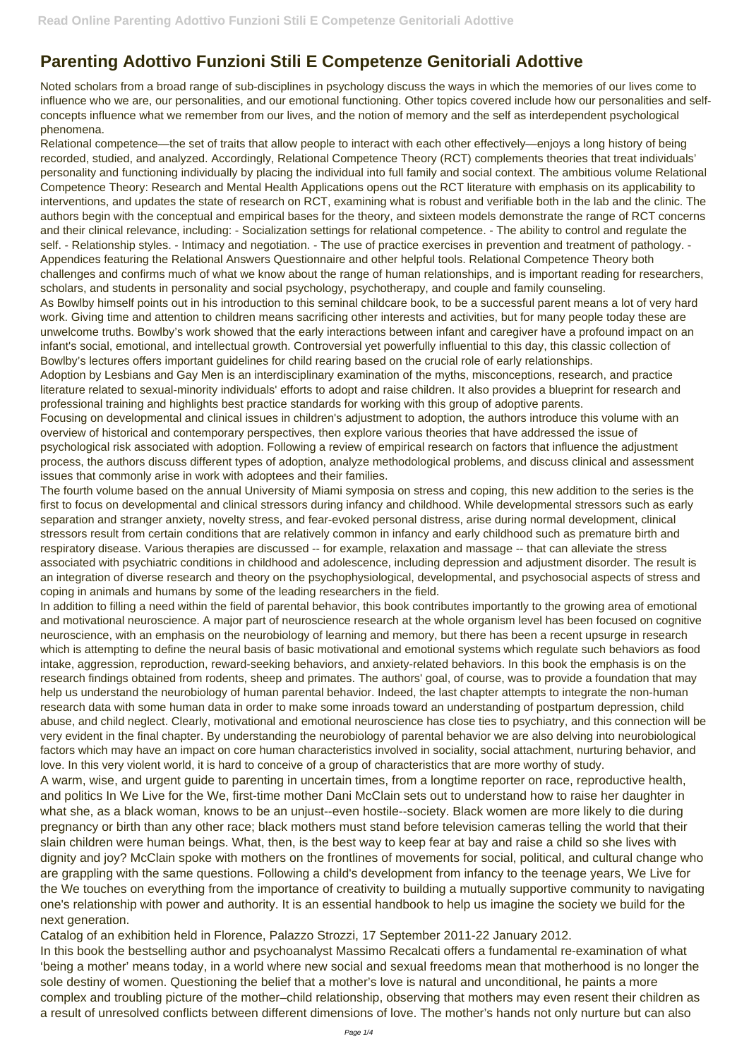## **Parenting Adottivo Funzioni Stili E Competenze Genitoriali Adottive**

Noted scholars from a broad range of sub-disciplines in psychology discuss the ways in which the memories of our lives come to influence who we are, our personalities, and our emotional functioning. Other topics covered include how our personalities and selfconcepts influence what we remember from our lives, and the notion of memory and the self as interdependent psychological phenomena.

Relational competence—the set of traits that allow people to interact with each other effectively—enjoys a long history of being recorded, studied, and analyzed. Accordingly, Relational Competence Theory (RCT) complements theories that treat individuals' personality and functioning individually by placing the individual into full family and social context. The ambitious volume Relational Competence Theory: Research and Mental Health Applications opens out the RCT literature with emphasis on its applicability to interventions, and updates the state of research on RCT, examining what is robust and verifiable both in the lab and the clinic. The authors begin with the conceptual and empirical bases for the theory, and sixteen models demonstrate the range of RCT concerns and their clinical relevance, including: - Socialization settings for relational competence. - The ability to control and regulate the self. - Relationship styles. - Intimacy and negotiation. - The use of practice exercises in prevention and treatment of pathology. -Appendices featuring the Relational Answers Questionnaire and other helpful tools. Relational Competence Theory both challenges and confirms much of what we know about the range of human relationships, and is important reading for researchers, scholars, and students in personality and social psychology, psychotherapy, and couple and family counseling. As Bowlby himself points out in his introduction to this seminal childcare book, to be a successful parent means a lot of very hard

work. Giving time and attention to children means sacrificing other interests and activities, but for many people today these are unwelcome truths. Bowlby's work showed that the early interactions between infant and caregiver have a profound impact on an infant's social, emotional, and intellectual growth. Controversial yet powerfully influential to this day, this classic collection of Bowlby's lectures offers important guidelines for child rearing based on the crucial role of early relationships.

Adoption by Lesbians and Gay Men is an interdisciplinary examination of the myths, misconceptions, research, and practice literature related to sexual-minority individuals' efforts to adopt and raise children. It also provides a blueprint for research and professional training and highlights best practice standards for working with this group of adoptive parents.

Focusing on developmental and clinical issues in children's adjustment to adoption, the authors introduce this volume with an overview of historical and contemporary perspectives, then explore various theories that have addressed the issue of psychological risk associated with adoption. Following a review of empirical research on factors that influence the adjustment process, the authors discuss different types of adoption, analyze methodological problems, and discuss clinical and assessment issues that commonly arise in work with adoptees and their families.

The fourth volume based on the annual University of Miami symposia on stress and coping, this new addition to the series is the first to focus on developmental and clinical stressors during infancy and childhood. While developmental stressors such as early separation and stranger anxiety, novelty stress, and fear-evoked personal distress, arise during normal development, clinical stressors result from certain conditions that are relatively common in infancy and early childhood such as premature birth and respiratory disease. Various therapies are discussed -- for example, relaxation and massage -- that can alleviate the stress associated with psychiatric conditions in childhood and adolescence, including depression and adjustment disorder. The result is an integration of diverse research and theory on the psychophysiological, developmental, and psychosocial aspects of stress and coping in animals and humans by some of the leading researchers in the field.

In addition to filling a need within the field of parental behavior, this book contributes importantly to the growing area of emotional and motivational neuroscience. A major part of neuroscience research at the whole organism level has been focused on cognitive neuroscience, with an emphasis on the neurobiology of learning and memory, but there has been a recent upsurge in research which is attempting to define the neural basis of basic motivational and emotional systems which regulate such behaviors as food intake, aggression, reproduction, reward-seeking behaviors, and anxiety-related behaviors. In this book the emphasis is on the research findings obtained from rodents, sheep and primates. The authors' goal, of course, was to provide a foundation that may help us understand the neurobiology of human parental behavior. Indeed, the last chapter attempts to integrate the non-human research data with some human data in order to make some inroads toward an understanding of postpartum depression, child abuse, and child neglect. Clearly, motivational and emotional neuroscience has close ties to psychiatry, and this connection will be very evident in the final chapter. By understanding the neurobiology of parental behavior we are also delving into neurobiological factors which may have an impact on core human characteristics involved in sociality, social attachment, nurturing behavior, and love. In this very violent world, it is hard to conceive of a group of characteristics that are more worthy of study.

A warm, wise, and urgent guide to parenting in uncertain times, from a longtime reporter on race, reproductive health, and politics In We Live for the We, first-time mother Dani McClain sets out to understand how to raise her daughter in what she, as a black woman, knows to be an unjust--even hostile--society. Black women are more likely to die during pregnancy or birth than any other race; black mothers must stand before television cameras telling the world that their slain children were human beings. What, then, is the best way to keep fear at bay and raise a child so she lives with dignity and joy? McClain spoke with mothers on the frontlines of movements for social, political, and cultural change who are grappling with the same questions. Following a child's development from infancy to the teenage years, We Live for the We touches on everything from the importance of creativity to building a mutually supportive community to navigating one's relationship with power and authority. It is an essential handbook to help us imagine the society we build for the next generation. Catalog of an exhibition held in Florence, Palazzo Strozzi, 17 September 2011-22 January 2012. In this book the bestselling author and psychoanalyst Massimo Recalcati offers a fundamental re-examination of what 'being a mother' means today, in a world where new social and sexual freedoms mean that motherhood is no longer the sole destiny of women. Questioning the belief that a mother's love is natural and unconditional, he paints a more complex and troubling picture of the mother–child relationship, observing that mothers may even resent their children as a result of unresolved conflicts between different dimensions of love. The mother's hands not only nurture but can also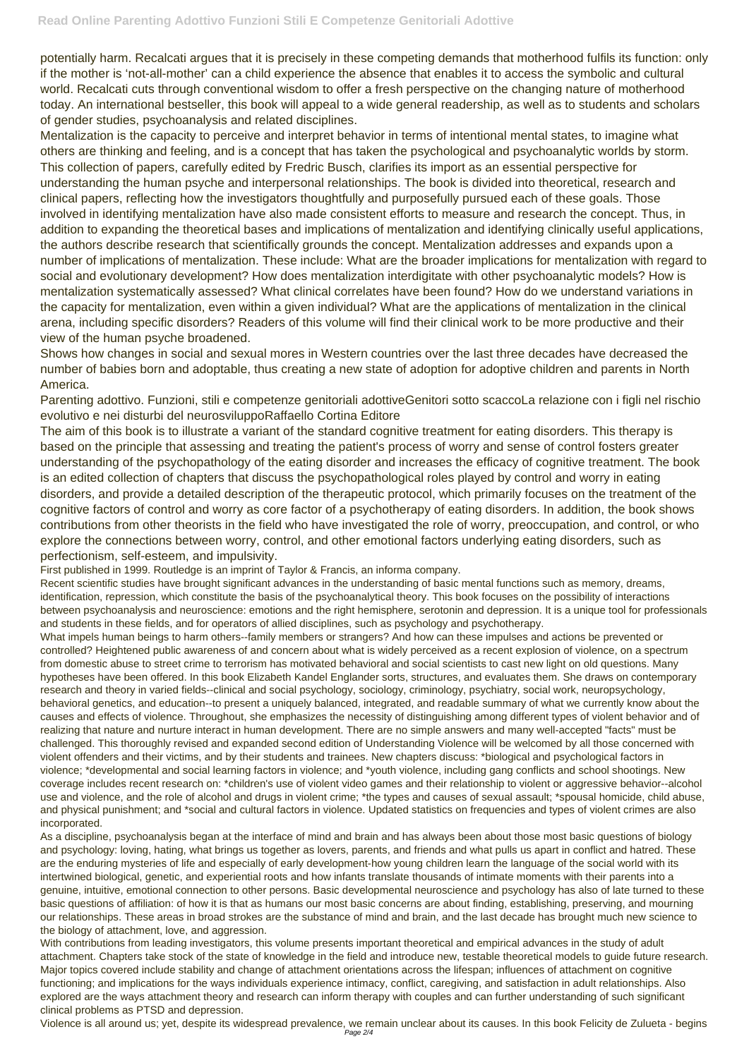potentially harm. Recalcati argues that it is precisely in these competing demands that motherhood fulfils its function: only if the mother is 'not-all-mother' can a child experience the absence that enables it to access the symbolic and cultural world. Recalcati cuts through conventional wisdom to offer a fresh perspective on the changing nature of motherhood today. An international bestseller, this book will appeal to a wide general readership, as well as to students and scholars of gender studies, psychoanalysis and related disciplines.

Mentalization is the capacity to perceive and interpret behavior in terms of intentional mental states, to imagine what others are thinking and feeling, and is a concept that has taken the psychological and psychoanalytic worlds by storm. This collection of papers, carefully edited by Fredric Busch, clarifies its import as an essential perspective for understanding the human psyche and interpersonal relationships. The book is divided into theoretical, research and clinical papers, reflecting how the investigators thoughtfully and purposefully pursued each of these goals. Those involved in identifying mentalization have also made consistent efforts to measure and research the concept. Thus, in addition to expanding the theoretical bases and implications of mentalization and identifying clinically useful applications, the authors describe research that scientifically grounds the concept. Mentalization addresses and expands upon a number of implications of mentalization. These include: What are the broader implications for mentalization with regard to social and evolutionary development? How does mentalization interdigitate with other psychoanalytic models? How is mentalization systematically assessed? What clinical correlates have been found? How do we understand variations in the capacity for mentalization, even within a given individual? What are the applications of mentalization in the clinical arena, including specific disorders? Readers of this volume will find their clinical work to be more productive and their view of the human psyche broadened.

Shows how changes in social and sexual mores in Western countries over the last three decades have decreased the number of babies born and adoptable, thus creating a new state of adoption for adoptive children and parents in North America.

Parenting adottivo. Funzioni, stili e competenze genitoriali adottiveGenitori sotto scaccoLa relazione con i figli nel rischio evolutivo e nei disturbi del neurosviluppoRaffaello Cortina Editore

The aim of this book is to illustrate a variant of the standard cognitive treatment for eating disorders. This therapy is based on the principle that assessing and treating the patient's process of worry and sense of control fosters greater understanding of the psychopathology of the eating disorder and increases the efficacy of cognitive treatment. The book is an edited collection of chapters that discuss the psychopathological roles played by control and worry in eating disorders, and provide a detailed description of the therapeutic protocol, which primarily focuses on the treatment of the cognitive factors of control and worry as core factor of a psychotherapy of eating disorders. In addition, the book shows contributions from other theorists in the field who have investigated the role of worry, preoccupation, and control, or who explore the connections between worry, control, and other emotional factors underlying eating disorders, such as perfectionism, self-esteem, and impulsivity.

First published in 1999. Routledge is an imprint of Taylor & Francis, an informa company.

Recent scientific studies have brought significant advances in the understanding of basic mental functions such as memory, dreams, identification, repression, which constitute the basis of the psychoanalytical theory. This book focuses on the possibility of interactions between psychoanalysis and neuroscience: emotions and the right hemisphere, serotonin and depression. It is a unique tool for professionals and students in these fields, and for operators of allied disciplines, such as psychology and psychotherapy.

What impels human beings to harm others--family members or strangers? And how can these impulses and actions be prevented or controlled? Heightened public awareness of and concern about what is widely perceived as a recent explosion of violence, on a spectrum from domestic abuse to street crime to terrorism has motivated behavioral and social scientists to cast new light on old questions. Many hypotheses have been offered. In this book Elizabeth Kandel Englander sorts, structures, and evaluates them. She draws on contemporary research and theory in varied fields--clinical and social psychology, sociology, criminology, psychiatry, social work, neuropsychology, behavioral genetics, and education--to present a uniquely balanced, integrated, and readable summary of what we currently know about the causes and effects of violence. Throughout, she emphasizes the necessity of distinguishing among different types of violent behavior and of realizing that nature and nurture interact in human development. There are no simple answers and many well-accepted "facts" must be challenged. This thoroughly revised and expanded second edition of Understanding Violence will be welcomed by all those concerned with violent offenders and their victims, and by their students and trainees. New chapters discuss: \*biological and psychological factors in violence; \*developmental and social learning factors in violence; and \*youth violence, including gang conflicts and school shootings. New coverage includes recent research on: \*children's use of violent video games and their relationship to violent or aggressive behavior--alcohol use and violence, and the role of alcohol and drugs in violent crime; \*the types and causes of sexual assault; \*spousal homicide, child abuse, and physical punishment; and \*social and cultural factors in violence. Updated statistics on frequencies and types of violent crimes are also incorporated. As a discipline, psychoanalysis began at the interface of mind and brain and has always been about those most basic questions of biology and psychology: loving, hating, what brings us together as lovers, parents, and friends and what pulls us apart in conflict and hatred. These are the enduring mysteries of life and especially of early development-how young children learn the language of the social world with its intertwined biological, genetic, and experiential roots and how infants translate thousands of intimate moments with their parents into a genuine, intuitive, emotional connection to other persons. Basic developmental neuroscience and psychology has also of late turned to these basic questions of affiliation: of how it is that as humans our most basic concerns are about finding, establishing, preserving, and mourning our relationships. These areas in broad strokes are the substance of mind and brain, and the last decade has brought much new science to the biology of attachment, love, and aggression. With contributions from leading investigators, this volume presents important theoretical and empirical advances in the study of adult attachment. Chapters take stock of the state of knowledge in the field and introduce new, testable theoretical models to guide future research. Major topics covered include stability and change of attachment orientations across the lifespan; influences of attachment on cognitive functioning; and implications for the ways individuals experience intimacy, conflict, caregiving, and satisfaction in adult relationships. Also explored are the ways attachment theory and research can inform therapy with couples and can further understanding of such significant clinical problems as PTSD and depression.

Violence is all around us; yet, despite its widespread prevalence, we remain unclear about its causes. In this book Felicity de Zulueta - begins Page 2/4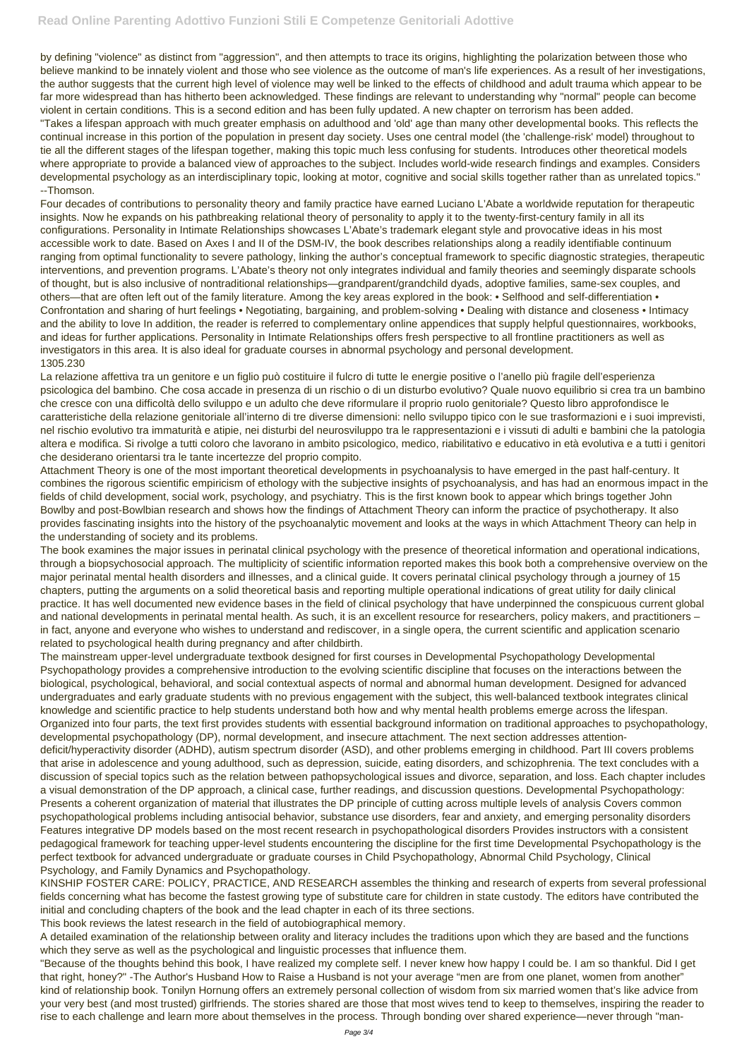by defining "violence" as distinct from "aggression", and then attempts to trace its origins, highlighting the polarization between those who believe mankind to be innately violent and those who see violence as the outcome of man's life experiences. As a result of her investigations, the author suggests that the current high level of violence may well be linked to the effects of childhood and adult trauma which appear to be far more widespread than has hitherto been acknowledged. These findings are relevant to understanding why "normal" people can become violent in certain conditions. This is a second edition and has been fully updated. A new chapter on terrorism has been added.

"Takes a lifespan approach with much greater emphasis on adulthood and 'old' age than many other developmental books. This reflects the continual increase in this portion of the population in present day society. Uses one central model (the 'challenge-risk' model) throughout to tie all the different stages of the lifespan together, making this topic much less confusing for students. Introduces other theoretical models where appropriate to provide a balanced view of approaches to the subject. Includes world-wide research findings and examples. Considers developmental psychology as an interdisciplinary topic, looking at motor, cognitive and social skills together rather than as unrelated topics." --Thomson.

La relazione affettiva tra un genitore e un figlio può costituire il fulcro di tutte le energie positive o l'anello più fragile dell'esperienza psicologica del bambino. Che cosa accade in presenza di un rischio o di un disturbo evolutivo? Quale nuovo equilibrio si crea tra un bambino che cresce con una difficoltà dello sviluppo e un adulto che deve riformulare il proprio ruolo genitoriale? Questo libro approfondisce le caratteristiche della relazione genitoriale all'interno di tre diverse dimensioni: nello sviluppo tipico con le sue trasformazioni e i suoi imprevisti, nel rischio evolutivo tra immaturità e atipie, nei disturbi del neurosviluppo tra le rappresentazioni e i vissuti di adulti e bambini che la patologia altera e modifica. Si rivolge a tutti coloro che lavorano in ambito psicologico, medico, riabilitativo e educativo in età evolutiva e a tutti i genitori che desiderano orientarsi tra le tante incertezze del proprio compito.

Four decades of contributions to personality theory and family practice have earned Luciano L'Abate a worldwide reputation for therapeutic insights. Now he expands on his pathbreaking relational theory of personality to apply it to the twenty-first-century family in all its configurations. Personality in Intimate Relationships showcases L'Abate's trademark elegant style and provocative ideas in his most accessible work to date. Based on Axes I and II of the DSM-IV, the book describes relationships along a readily identifiable continuum ranging from optimal functionality to severe pathology, linking the author's conceptual framework to specific diagnostic strategies, therapeutic interventions, and prevention programs. L'Abate's theory not only integrates individual and family theories and seemingly disparate schools of thought, but is also inclusive of nontraditional relationships—grandparent/grandchild dyads, adoptive families, same-sex couples, and others—that are often left out of the family literature. Among the key areas explored in the book: • Selfhood and self-differentiation • Confrontation and sharing of hurt feelings • Negotiating, bargaining, and problem-solving • Dealing with distance and closeness • Intimacy and the ability to love In addition, the reader is referred to complementary online appendices that supply helpful questionnaires, workbooks, and ideas for further applications. Personality in Intimate Relationships offers fresh perspective to all frontline practitioners as well as investigators in this area. It is also ideal for graduate courses in abnormal psychology and personal development. 1305.230

Attachment Theory is one of the most important theoretical developments in psychoanalysis to have emerged in the past half-century. It combines the rigorous scientific empiricism of ethology with the subjective insights of psychoanalysis, and has had an enormous impact in the fields of child development, social work, psychology, and psychiatry. This is the first known book to appear which brings together John Bowlby and post-Bowlbian research and shows how the findings of Attachment Theory can inform the practice of psychotherapy. It also provides fascinating insights into the history of the psychoanalytic movement and looks at the ways in which Attachment Theory can help in the understanding of society and its problems.

The book examines the major issues in perinatal clinical psychology with the presence of theoretical information and operational indications, through a biopsychosocial approach. The multiplicity of scientific information reported makes this book both a comprehensive overview on the major perinatal mental health disorders and illnesses, and a clinical guide. It covers perinatal clinical psychology through a journey of 15 chapters, putting the arguments on a solid theoretical basis and reporting multiple operational indications of great utility for daily clinical practice. It has well documented new evidence bases in the field of clinical psychology that have underpinned the conspicuous current global and national developments in perinatal mental health. As such, it is an excellent resource for researchers, policy makers, and practitioners – in fact, anyone and everyone who wishes to understand and rediscover, in a single opera, the current scientific and application scenario related to psychological health during pregnancy and after childbirth.

The mainstream upper-level undergraduate textbook designed for first courses in Developmental Psychopathology Developmental Psychopathology provides a comprehensive introduction to the evolving scientific discipline that focuses on the interactions between the biological, psychological, behavioral, and social contextual aspects of normal and abnormal human development. Designed for advanced undergraduates and early graduate students with no previous engagement with the subject, this well-balanced textbook integrates clinical knowledge and scientific practice to help students understand both how and why mental health problems emerge across the lifespan. Organized into four parts, the text first provides students with essential background information on traditional approaches to psychopathology, developmental psychopathology (DP), normal development, and insecure attachment. The next section addresses attentiondeficit/hyperactivity disorder (ADHD), autism spectrum disorder (ASD), and other problems emerging in childhood. Part III covers problems that arise in adolescence and young adulthood, such as depression, suicide, eating disorders, and schizophrenia. The text concludes with a discussion of special topics such as the relation between pathopsychological issues and divorce, separation, and loss. Each chapter includes a visual demonstration of the DP approach, a clinical case, further readings, and discussion questions. Developmental Psychopathology: Presents a coherent organization of material that illustrates the DP principle of cutting across multiple levels of analysis Covers common psychopathological problems including antisocial behavior, substance use disorders, fear and anxiety, and emerging personality disorders Features integrative DP models based on the most recent research in psychopathological disorders Provides instructors with a consistent pedagogical framework for teaching upper-level students encountering the discipline for the first time Developmental Psychopathology is the perfect textbook for advanced undergraduate or graduate courses in Child Psychopathology, Abnormal Child Psychology, Clinical Psychology, and Family Dynamics and Psychopathology.

KINSHIP FOSTER CARE: POLICY, PRACTICE, AND RESEARCH assembles the thinking and research of experts from several professional fields concerning what has become the fastest growing type of substitute care for children in state custody. The editors have contributed the initial and concluding chapters of the book and the lead chapter in each of its three sections.

This book reviews the latest research in the field of autobiographical memory.

A detailed examination of the relationship between orality and literacy includes the traditions upon which they are based and the functions which they serve as well as the psychological and linguistic processes that influence them.

"Because of the thoughts behind this book, I have realized my complete self. I never knew how happy I could be. I am so thankful. Did I get that right, honey?" -The Author's Husband How to Raise a Husband is not your average "men are from one planet, women from another" kind of relationship book. Tonilyn Hornung offers an extremely personal collection of wisdom from six married women that's like advice from your very best (and most trusted) girlfriends. The stories shared are those that most wives tend to keep to themselves, inspiring the reader to rise to each challenge and learn more about themselves in the process. Through bonding over shared experience—never through "man